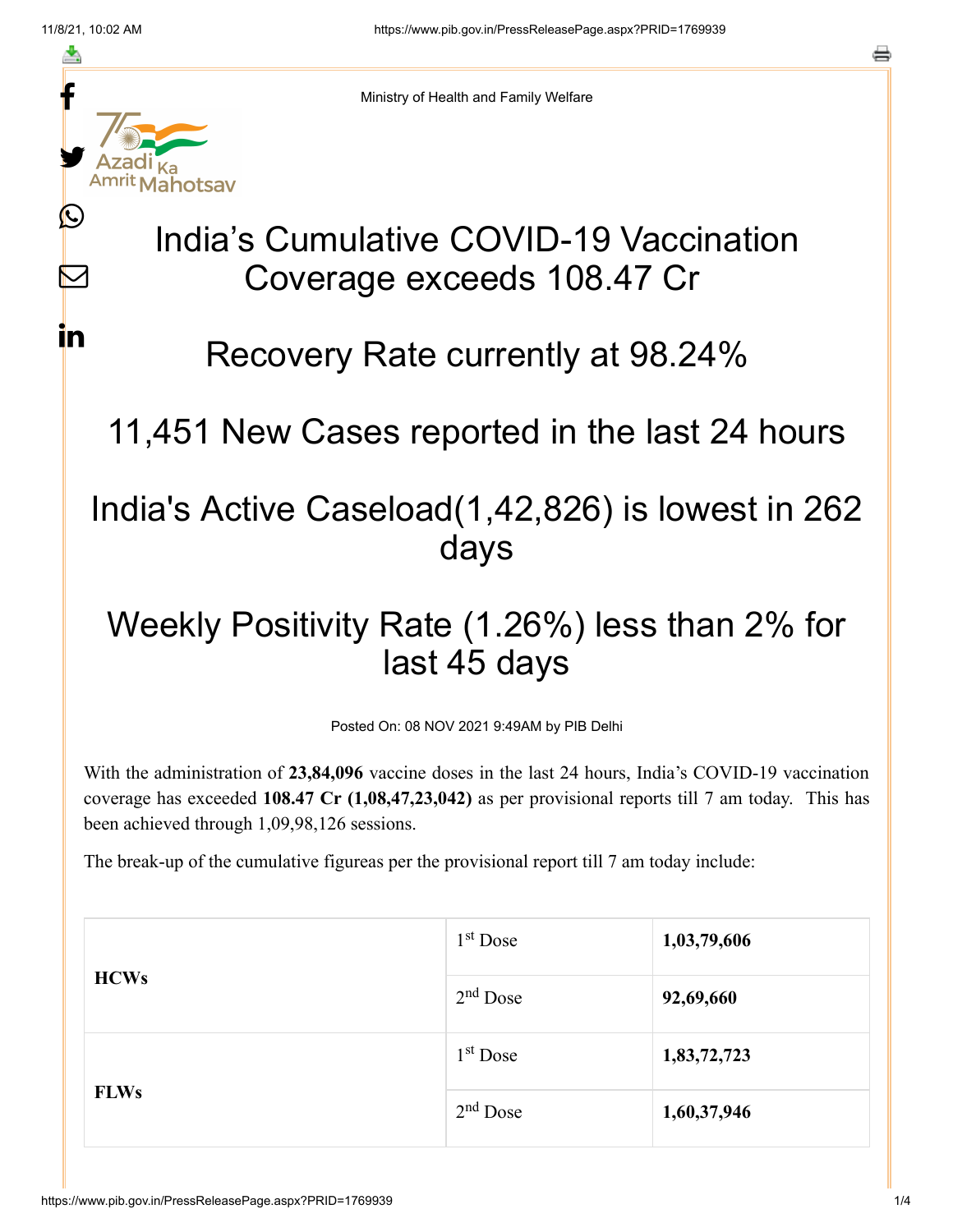≛

 $\bm{\omega}$ 

 $\boldsymbol{\mathsf{M}}$ 

<u>in</u>



Ministry of Health and Family Welfare

## India's Cumulative COVID-19 Vaccination Coverage exceeds 108.47 Cr

Recovery Rate currently at 98.24%

11,451 New Cases reported in the last 24 hours

## India's Active Caseload(1,42,826) is lowest in 262 days

## Weekly Positivity Rate (1.26%) less than 2% for last 45 days

Posted On: 08 NOV 2021 9:49AM by PIB Delhi

With the administration of **23,84,096** vaccine doses in the last 24 hours, India's COVID-19 vaccination coverage has exceeded **108.47 Cr (1,08,47,23,042)** as per provisional reports till 7 am today. This has been achieved through 1,09,98,126 sessions.

The break-up of the cumulative figureas per the provisional report till 7 am today include:

| <b>HCWs</b> | $1st$ Dose | 1,03,79,606 |
|-------------|------------|-------------|
|             | $2nd$ Dose | 92,69,660   |
|             | $1st$ Dose | 1,83,72,723 |
| <b>FLWs</b> | $2nd$ Dose | 1,60,37,946 |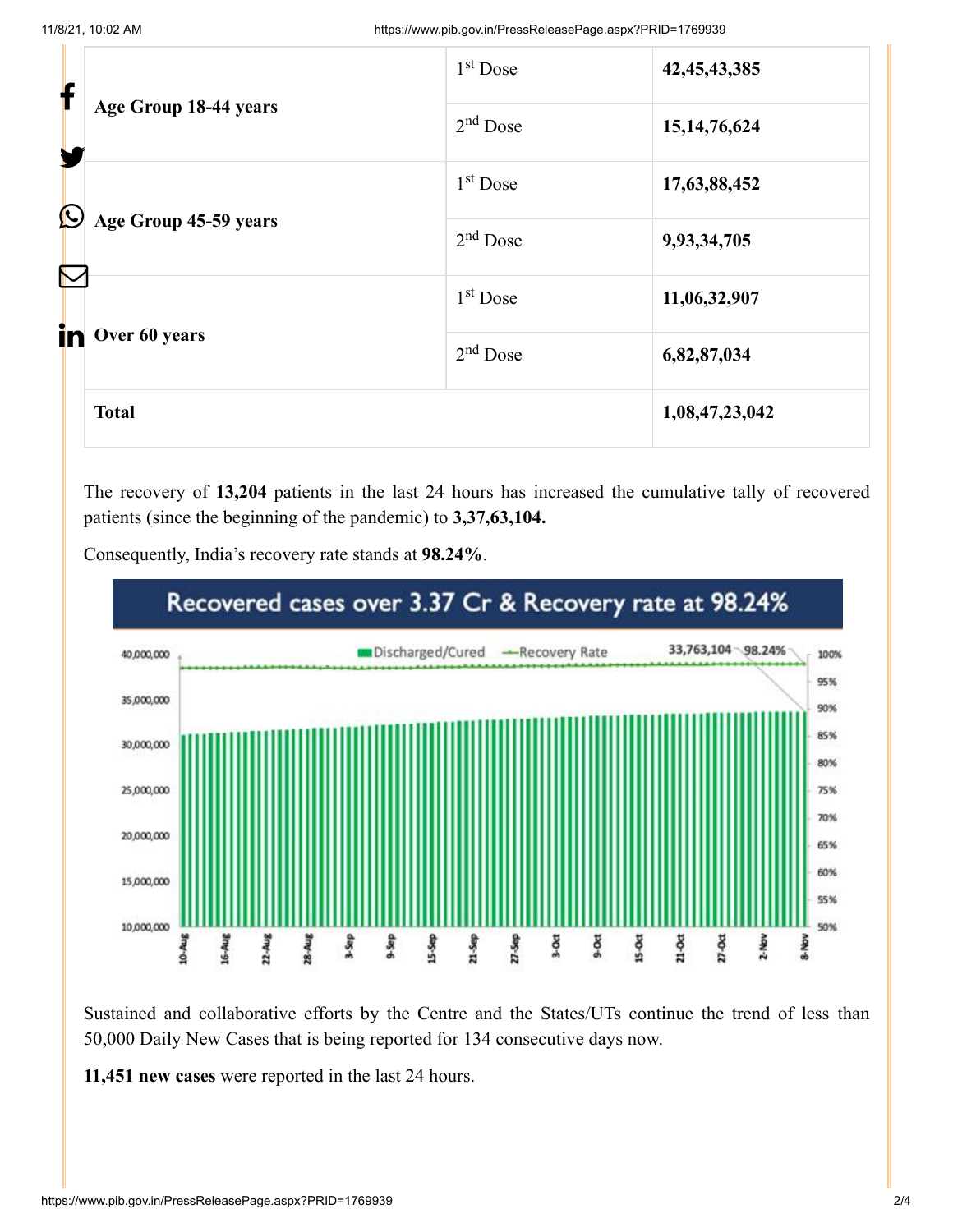|                       | Age Group 18-44 years | 1 <sup>st</sup> Dose | 42, 45, 43, 385 |
|-----------------------|-----------------------|----------------------|-----------------|
|                       |                       | $2nd$ Dose           | 15, 14, 76, 624 |
| $\bigcirc$            |                       | 1 <sup>st</sup> Dose | 17,63,88,452    |
| $\boldsymbol{\nabla}$ | Age Group 45-59 years | $2nd$ Dose           | 9,93,34,705     |
|                       |                       | $1st$ Dose           | 11,06,32,907    |
| in                    | Over 60 years         | $2nd$ Dose           | 6,82,87,034     |
|                       | <b>Total</b>          |                      | 1,08,47,23,042  |

The recovery of **13,204** patients in the last 24 hours has increased the cumulative tally of recovered patients (since the beginning of the pandemic) to **3,37,63,104.**



Consequently, India's recovery rate stands at **98.24%**.

Sustained and collaborative efforts by the Centre and the States/UTs continue the trend of less than 50,000 Daily New Cases that is being reported for 134 consecutive days now.

**11,451 new cases** were reported in the last 24 hours.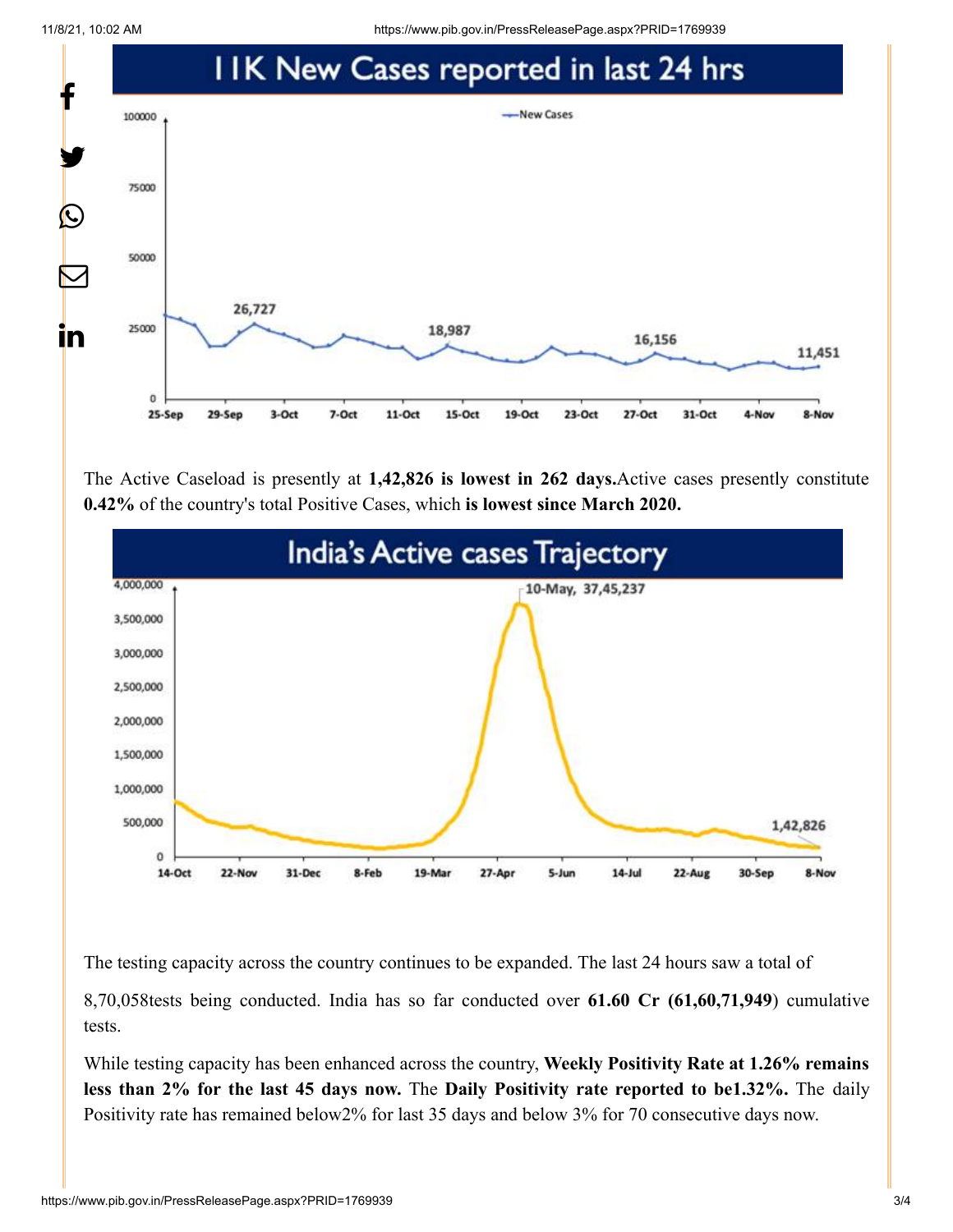11/8/21, 10:02 AM https://www.pib.gov.in/PressReleasePage.aspx?PRID=1769939



The Active Caseload is presently at **1,42,826 is lowest in 262 days.**Active cases presently constitute **0.42%** of the country's total Positive Cases, which **is lowest since March 2020.**



The testing capacity across the country continues to be expanded. The last 24 hours saw a total of

8,70,058tests being conducted. India has so far conducted over **61.60 Cr (61,60,71,949**) cumulative tests.

While testing capacity has been enhanced across the country, **Weekly Positivity Rate at 1.26% remains less than 2% for the last 45 days now.** The **Daily Positivity rate reported to be1.32%.** The daily Positivity rate has remained below2% for last 35 days and below 3% for 70 consecutive days now.